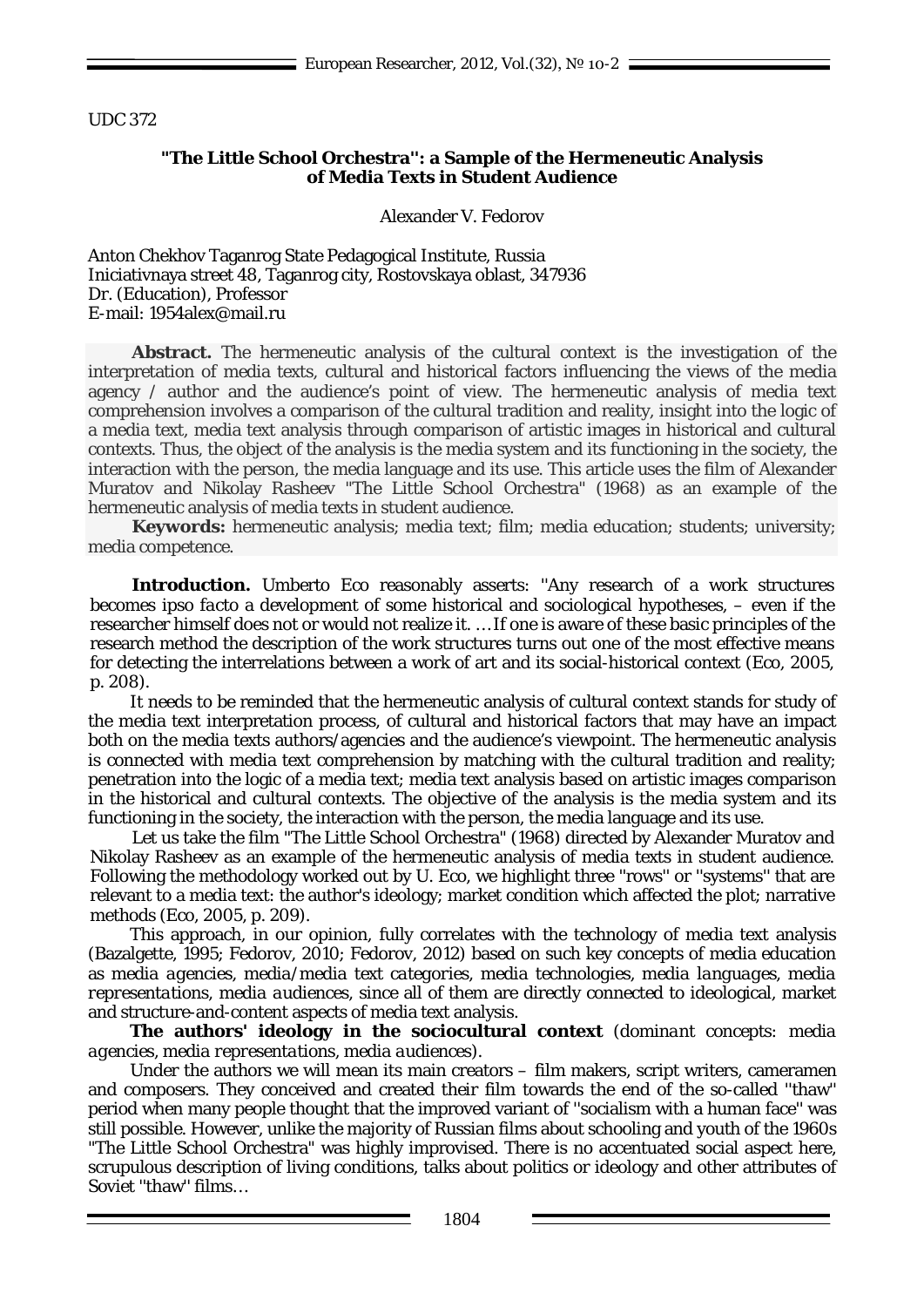UDC 372

## **"The Little School Orchestra'': a Sample of the Hermeneutic Analysis of Media Texts in Student Audience**

Alexander V. Fedorov

Anton Chekhov Taganrog State Pedagogical Institute, Russia Iniciativnaya street 48, Taganrog city, Rostovskaya oblast, 347936 Dr. (Education), Professor E-mail: 1954alex@mail.ru

**Abstract.** The hermeneutic analysis of the cultural context is the investigation of the interpretation of media texts, cultural and historical factors influencing the views of the media agency / author and the audience's point of view. The hermeneutic analysis of media text comprehension involves a comparison of the cultural tradition and reality, insight into the logic of a media text, media text analysis through comparison of artistic images in historical and cultural contexts. Thus, the object of the analysis is the media system and its functioning in the society, the interaction with the person, the media language and its use. This article uses the film of Alexander Muratov and Nikolay Rasheev "The Little School Orchestra" (1968) as an example of the hermeneutic analysis of media texts in student audience.

**Keywords:** hermeneutic analysis; media text; film; media education; students; university; media competence.

Introduction. Umberto Eco reasonably asserts: "Any research of a work structures becomes *ipso facto* a development of some historical and sociological hypotheses, – even if the researcher himself does not or would not realize it. … If one is aware of these basic principles of the research method the description of the work structures turns out one of the most effective means for detecting the interrelations between a work of art and its social-historical context (Eco, 2005, p. 208).

It needs to be reminded that the hermeneutic analysis of cultural context stands for study of the media text interpretation process, of cultural and historical factors that may have an impact both on the media texts authors/agencies and the audience's viewpoint. The hermeneutic analysis is connected with media text comprehension by matching with the cultural tradition and reality; penetration into the logic of a media text; media text analysis based on artistic images comparison in the historical and cultural contexts. The objective of the analysis is the media system and its functioning in the society, the interaction with the person, the media language and its use.

Let us take the film "The Little School Orchestra" (1968) directed by Alexander Muratov and Nikolay Rasheev as an example of the hermeneutic analysis of media texts in student audience. Following the methodology worked out by U. Eco, we highlight three ''rows'' or ''systems'' that are relevant to a media text: the author's ideology; market condition which affected the plot; narrative methods (Eco, 2005, p. 209).

This approach, in our opinion, fully correlates with the technology of media text analysis (Bazalgette, 1995; Fedorov, 2010; Fedorov, 2012) based on such key concepts of media education as *media agencies, media/media text categories, media technologies, media languages, media representations, media audiences*, since all of them are directly connected to ideological, market and structure-and-content aspects of media text analysis.

**The authors' ideology in the sociocultural context** *(dominant concepts: media agencies, media representations, media audiences).*

Under the authors we will mean its main creators – film makers, script writers, cameramen and composers. They conceived and created their film towards the end of the so-called ''thaw'' period when many people thought that the improved variant of ''socialism with a human face'' was still possible. However, unlike the majority of Russian films about schooling and youth of the 1960s "The Little School Orchestra" was highly improvised. There is no accentuated social aspect here, scrupulous description of living conditions, talks about politics or ideology and other attributes of Soviet ''thaw'' films…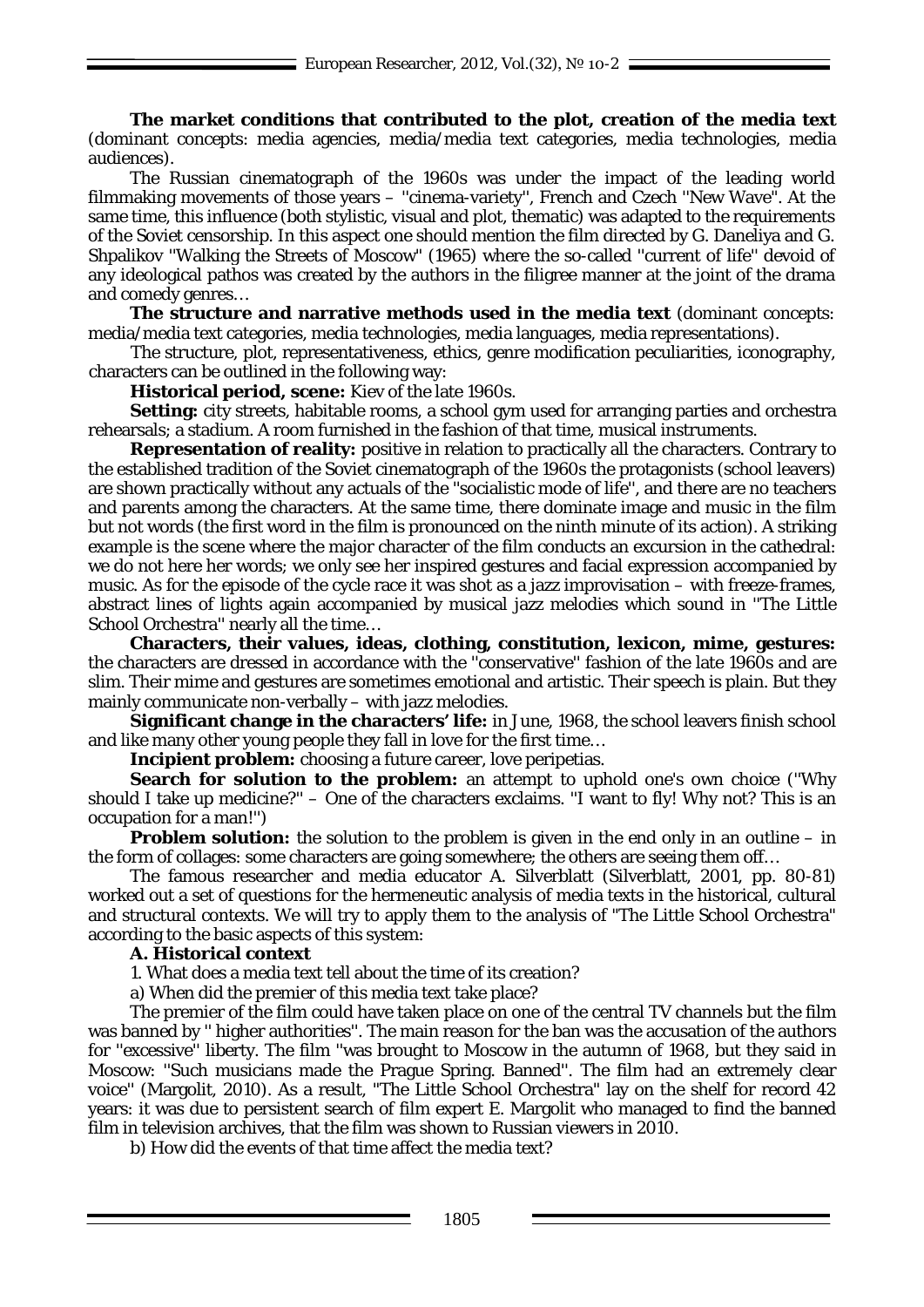**The market conditions that contributed to the plot, creation of the media text**  (dominant concepts: media agencies, media/media text categories, media technologies, media audiences).

The Russian cinematograph of the 1960s was under the impact of the leading world filmmaking movements of those years – ''cinema-variety'', French and Czech ''New Wave". At the same time, this influence (both stylistic, visual and plot, thematic) was adapted to the requirements of the Soviet censorship. In this aspect one should mention the film directed by G. Daneliya and G. Shpalikov ''Walking the Streets of Moscow" (1965) where the so-called ''current of life'' devoid of any ideological pathos was created by the authors in the filigree manner at the joint of the drama and comedy genres…

**The structure and narrative methods used in the media text** (dominant concepts: media/media text categories, media technologies, media languages, media representations).

The structure, plot, representativeness, ethics, genre modification peculiarities, iconography, characters can be outlined in the following way:

**Historical period, scene:** Kiev of the late 1960s.

**Setting:** city streets, habitable rooms, a school gym used for arranging parties and orchestra rehearsals; a stadium. A room furnished in the fashion of that time, musical instruments.

**Representation of reality:** positive in relation to practically all the characters. Contrary to the established tradition of the Soviet cinematograph of the 1960s the protagonists (school leavers) are shown practically without any actuals of the ''socialistic mode of life'', and there are no teachers and parents among the characters. At the same time, there dominate image and music in the film but not words (the first word in the film is pronounced on the ninth minute of its action). A striking example is the scene where the major character of the film conducts an excursion in the cathedral: we do not here her words; we only see her inspired gestures and facial expression accompanied by music. As for the episode of the cycle race it was shot as a jazz improvisation – with freeze-frames, abstract lines of lights again accompanied by musical jazz melodies which sound in ''The Little School Orchestra'' nearly all the time…

**Characters, their values, ideas, clothing, constitution, lexicon, mime, gestures:**  the characters are dressed in accordance with the ''conservative'' fashion of the late 1960s and are slim. Their mime and gestures are sometimes emotional and artistic. Their speech is plain. But they mainly communicate non-verbally – with jazz melodies.

**Significant change in the characters' life:** in June, 1968, the school leavers finish school and like many other young people they fall in love for the first time…

**Incipient problem:** choosing a future career, love peripetias.

**Search for solution to the problem:** an attempt to uphold one's own choice (''Why should I take up medicine?'' – One of the characters exclaims. ''I want to fly! Why not? This is an occupation for a man!'')

**Problem solution:** the solution to the problem is given in the end only in an outline – in the form of collages: some characters are going somewhere; the others are seeing them off…

The famous researcher and media educator A. Silverblatt (Silverblatt, 2001, pp. 80-81) worked out a set of questions for the hermeneutic analysis of media texts in the historical, cultural and structural contexts. We will try to apply them to the analysis of "The Little School Orchestra" according to the basic aspects of this system:

### **A. Historical context**

1. What does a media text tell about the time of its creation?

a) When did the premier of this media text take place?

The premier of the film could have taken place on one of the central TV channels but the film was banned by '' higher authorities''. The main reason for the ban was the accusation of the authors for ''excessive'' liberty. The film ''was brought to Moscow in the autumn of 1968, but they said in Moscow: ''Such musicians made the Prague Spring. Banned''. The film had an extremely clear voice'' (Margolit, 2010). As a result, "The Little School Orchestra" lay on the shelf for record 42 years: it was due to persistent search of film expert E. Margolit who managed to find the banned film in television archives, that the film was shown to Russian viewers in 2010.

b) How did the events of that time affect the media text?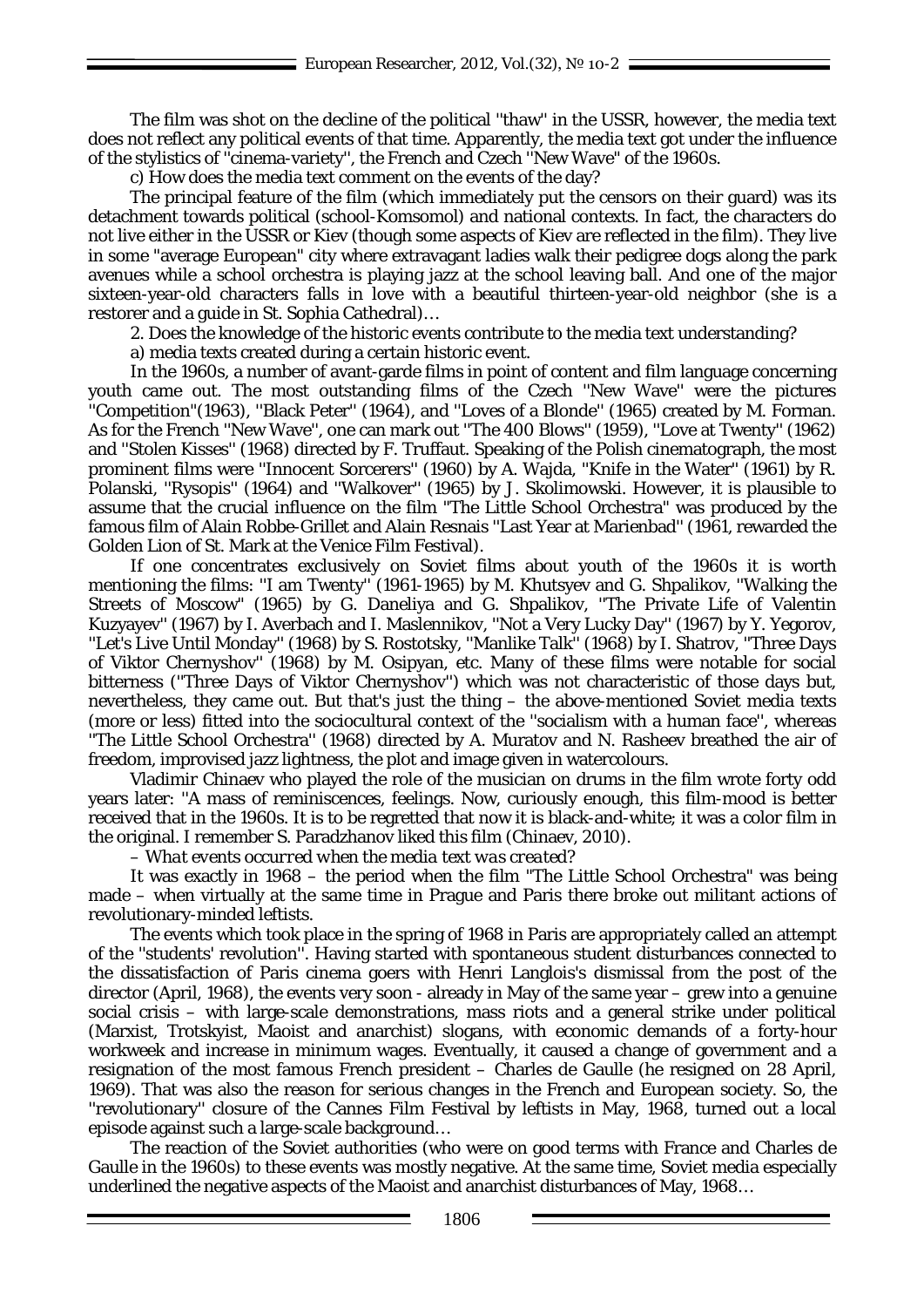The film was shot on the decline of the political ''thaw'' in the USSR, however, the media text does not reflect any political events of that time. Apparently, the media text got under the influence of the stylistics of ''cinema-variety'', the French and Czech ''New Wave" of the 1960s.

c) How does the media text comment on the events of the day?

The principal feature of the film (which immediately put the censors on their guard) was its detachment towards political (school-Komsomol) and national contexts. In fact, the characters do not live either in the USSR or Kiev (though some aspects of Kiev are reflected in the film). They live in some "average European" city where extravagant ladies walk their pedigree dogs along the park avenues while a school orchestra is playing jazz at the school leaving ball. And one of the major sixteen-year-old characters falls in love with a beautiful thirteen-year-old neighbor (she is a restorer and a guide in St. Sophia Cathedral)…

2. Does the knowledge of the historic events contribute to the media text understanding?

a) media texts created during a certain historic event.

In the 1960s, a number of avant-garde films in point of content and film language concerning youth came out. The most outstanding films of the Czech ''New Wave'' were the pictures ''Competition"(1963), ''Black Peter'' (1964), and ''Loves of a Blonde'' (1965) created by M. Forman. As for the French ''New Wave'', one can mark out ''The 400 Blows'' (1959), ''Love at Twenty'' (1962) and ''Stolen Kisses'' (1968) directed by F. Truffaut. Speaking of the Polish cinematograph, the most prominent films were ''Innocent Sorcerers'' (1960) by A. Wajda, ''Knife in the Water'' (1961) by R. Polanski, ''Rysopis'' (1964) and ''Walkover'' (1965) by J. Skolimowski. However, it is plausible to assume that the crucial influence on the film "The Little School Orchestra" was produced by the famous film of Alain Robbe-Grillet and Alain Resnais ''Last Year at Marienbad'' (1961, rewarded the Golden Lion of St. Mark at the Venice Film Festival).

If one concentrates exclusively on Soviet films about youth of the 1960s it is worth mentioning the films: ''I am Twenty'' (1961-1965) by M. Khutsyev and G. Shpalikov, ''Walking the Streets of Moscow" (1965) by G. Daneliya and G. Shpalikov, "The Private Life of Valentin Kuzyayev'' (1967) by I. Averbach and I. Maslennikov, ''Not a Very Lucky Day'' (1967) by Y. Yegorov, "Let's Live Until Monday" (1968) by S. Rostotsky, "Manlike Talk" (1968) by I. Shatrov, "Three Days of Viktor Chernyshov'' (1968) by M. Osipyan, etc. Many of these films were notable for social bitterness (''Three Days of Viktor Chernyshov'') which was not characteristic of those days but, nevertheless, they came out. But that's just the thing – the above-mentioned Soviet media texts (more or less) fitted into the sociocultural context of the ''socialism with a human face'', whereas ''The Little School Orchestra'' (1968) directed by A. Muratov and N. Rasheev breathed the air of freedom, improvised jazz lightness, the plot and image given in watercolours.

Vladimir Chinaev who played the role of the musician on drums in the film wrote forty odd years later: ''A mass of reminiscences, feelings. Now, curiously enough, this film-mood is better received that in the 1960s. It is to be regretted that now it is black-and-white; it was a color film in the original. I remember S. Paradzhanov liked this film (Chinaev, 2010).

– *What events occurred when the media text was created?*

It was exactly in 1968 – the period when the film "The Little School Orchestra" was being made – when virtually at the same time in Prague and Paris there broke out militant actions of revolutionary-minded leftists.

The events which took place in the spring of 1968 in Paris are appropriately called an attempt of the ''students' revolution''. Having started with spontaneous student disturbances connected to the dissatisfaction of Paris cinema goers with Henri Langlois's dismissal from the post of the director (April, 1968), the events very soon - already in May of the same year – grew into a genuine social crisis – with large-scale demonstrations, mass riots and a general strike under political (Marxist, Trotskyist, Maoist and anarchist) slogans, with economic demands of a forty-hour workweek and increase in minimum wages. Eventually, it caused a change of government and a resignation of the most famous French president – Charles de Gaulle (he resigned on 28 April, 1969). That was also the reason for serious changes in the French and European society. So, the ''revolutionary'' closure of the Cannes Film Festival by leftists in May, 1968, turned out a local episode against such a large-scale background…

The reaction of the Soviet authorities (who were on good terms with France and Charles de Gaulle in the 1960s) to these events was mostly negative. At the same time, Soviet media especially underlined the negative aspects of the Maoist and anarchist disturbances of May, 1968…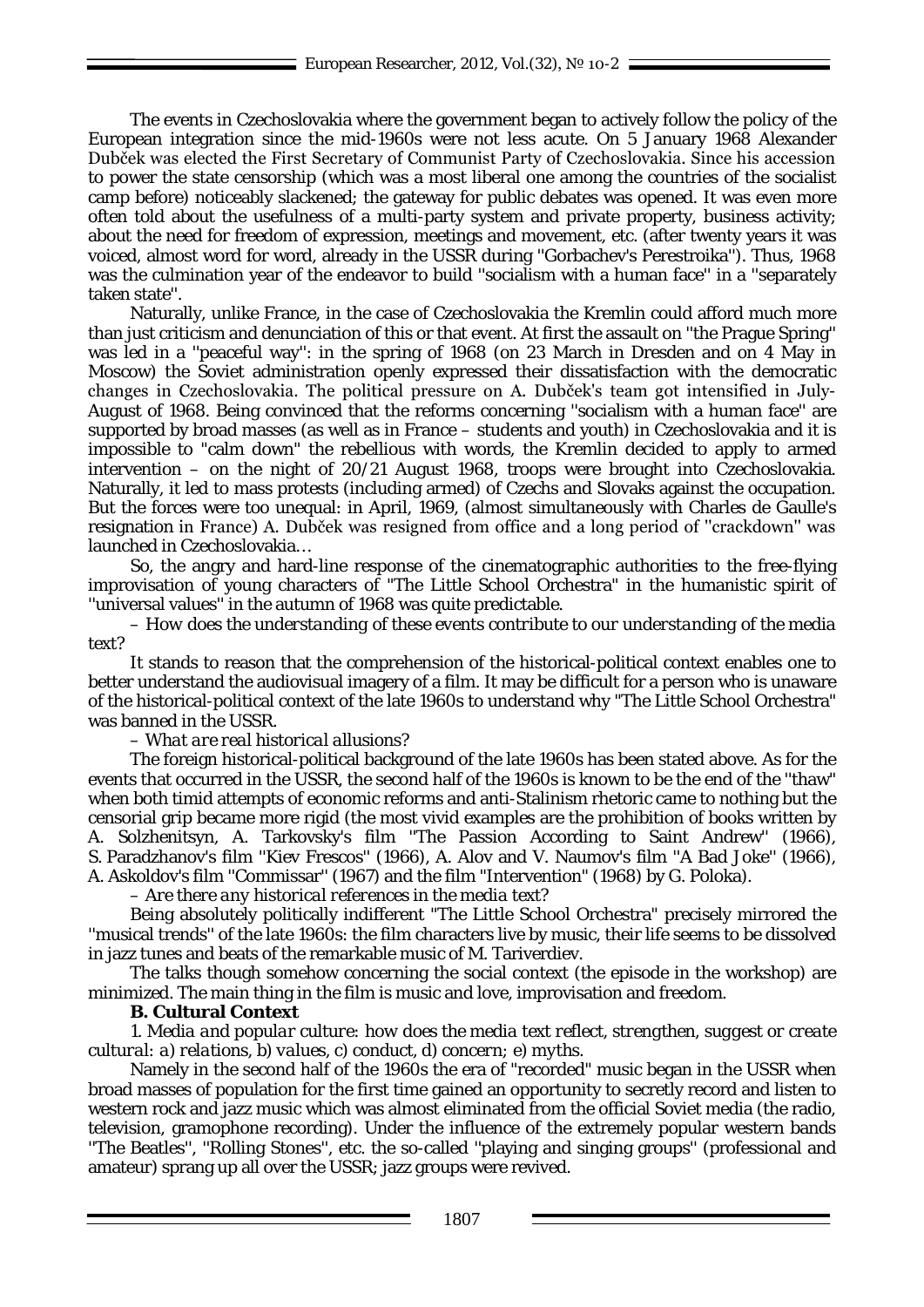The events in Czechoslovakia where the government began to actively follow the policy of the European integration since the mid-1960s were not less acute. On 5 January 1968 Alexander Dubček was elected the First Secretary of Communist Party of Czechoslovakia. Since his accession to power the state censorship (which was a most liberal one among the countries of the socialist camp before) noticeably slackened; the gateway for public debates was opened. It was even more often told about the usefulness of a multi-party system and private property, business activity; about the need for freedom of expression, meetings and movement, etc. (after twenty years it was voiced, almost word for word, already in the USSR during ''Gorbachev's Perestroika''). Thus, 1968 was the culmination year of the endeavor to build ''socialism with a human face'' in a ''separately taken state''.

Naturally, unlike France, in the case of Czechoslovakia the Kremlin could afford much more than just criticism and denunciation of this or that event. At first the assault on ''the Prague Spring'' was led in a ''peaceful way'': in the spring of 1968 (on 23 March in Dresden and on 4 May in Moscow) the Soviet administration openly expressed their dissatisfaction with the democratic changes in Czechoslovakia. The political pressure on A. Dubček's team got intensified in July-August of 1968. Being convinced that the reforms concerning ''socialism with a human face'' are supported by broad masses (as well as in France – students and youth) in Czechoslovakia and it is impossible to "calm down" the rebellious with words, the Kremlin decided to apply to armed intervention – on the night of 20/21 August 1968, troops were brought into Czechoslovakia. Naturally, it led to mass protests (including armed) of Czechs and Slovaks against the occupation. But the forces were too unequal: in April, 1969, (almost simultaneously with Charles de Gaulle's resignation in France) A. Dubček was resigned from office and a long period of ''crackdown'' was launched in Czechoslovakia…

So, the angry and hard-line response of the cinematographic authorities to the free-flying improvisation of young characters of "The Little School Orchestra" in the humanistic spirit of ''universal values'' in the autumn of 1968 was quite predictable.

– *How does the understanding of these events contribute to our understanding of the media text?*

It stands to reason that the comprehension of the historical-political context enables one to better understand the audiovisual imagery of a film. It may be difficult for a person who is unaware of the historical-political context of the late 1960s to understand why "The Little School Orchestra" was banned in the USSR.

– *What are real historical allusions?* 

The foreign historical-political background of the late 1960s has been stated above. As for the events that occurred in the USSR, the second half of the 1960s is known to be the end of the ''thaw" when both timid attempts of economic reforms and anti-Stalinism rhetoric came to nothing but the censorial grip became more rigid (the most vivid examples are the prohibition of books written by A. Solzhenitsyn, A. Tarkovsky's film ''The Passion According to Saint Andrew'' (1966), S. Paradzhanov's film ''Kiev Frescos'' (1966), A. Alov and V. Naumov's film ''A Bad Joke'' (1966), A. Askoldov's film ''Commissar'' (1967) and the film "Intervention" (1968) by G. Poloka).

– *Are there any historical references in the media text?*

Being absolutely politically indifferent "The Little School Orchestra" precisely mirrored the ''musical trends'' of the late 1960s: the film characters live by music, their life seems to be dissolved in jazz tunes and beats of the remarkable music of M. Tariverdiev.

The talks though somehow concerning the social context (the episode in the workshop) are minimized. The main thing in the film is music and love, improvisation and freedom.

#### **B. Cultural Context**

*1. Media and popular culture: how does the media text reflect, strengthen, suggest or create cultural: a) relations, b) values, c) conduct, d) concern; e) myths.*

Namely in the second half of the 1960s the era of "recorded" music began in the USSR when broad masses of population for the first time gained an opportunity to secretly record and listen to western rock and jazz music which was almost eliminated from the official Soviet media (the radio, television, gramophone recording). Under the influence of the extremely popular western bands ''The Beatles'', ''Rolling Stones'', etc. the so-called ''playing and singing groups'' (professional and

amateur) sprang up all over the USSR; jazz groups were revived.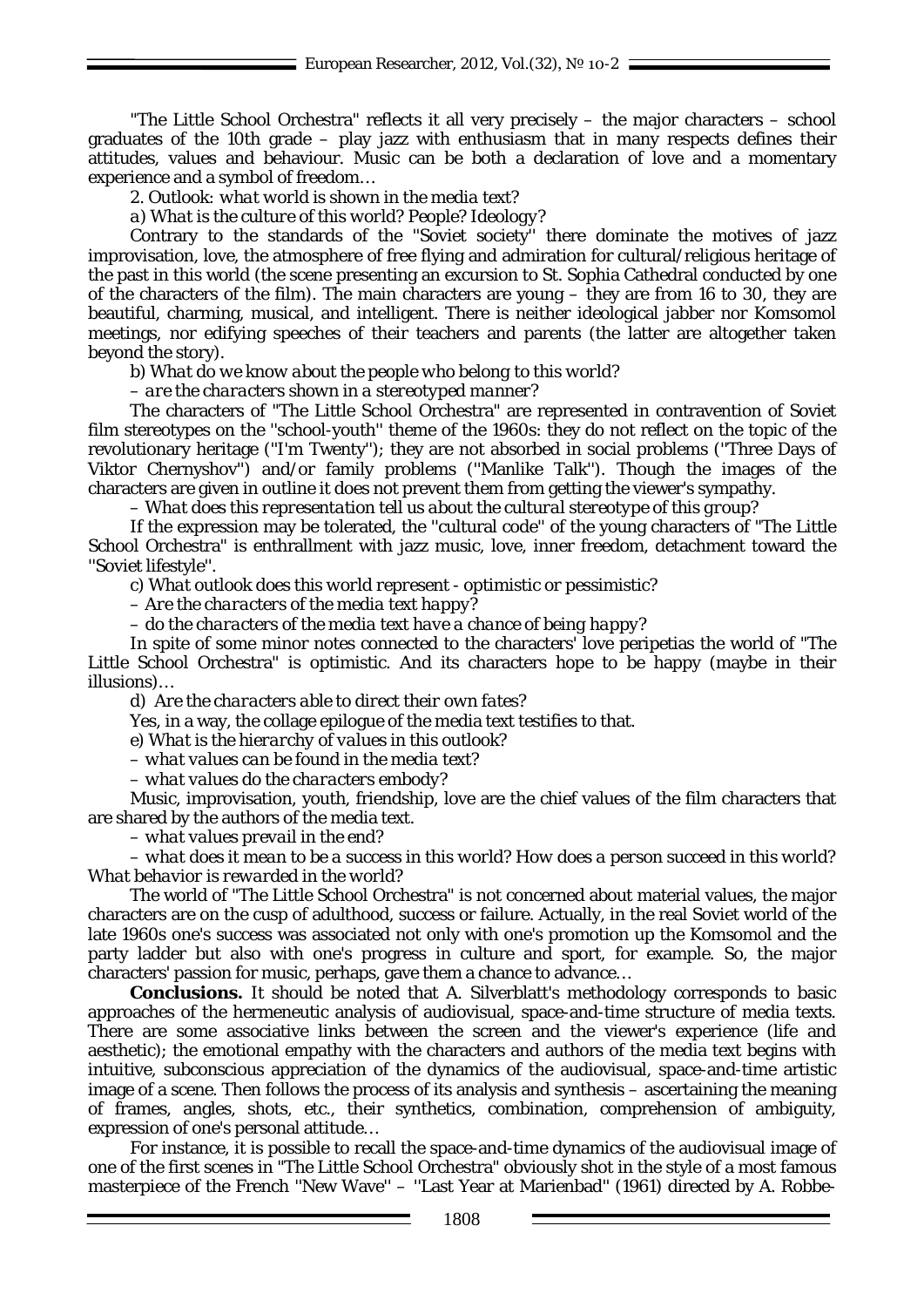"The Little School Orchestra" reflects it all very precisely – the major characters – school graduates of the 10th grade – play jazz with enthusiasm that in many respects defines their attitudes, values and behaviour. Music can be both a declaration of love and a momentary experience and a symbol of freedom…

*2. Outlook: what world is shown in the media text?*

*a) What is the culture of this world? People? Ideology?*

Contrary to the standards of the ''Soviet society'' there dominate the motives of jazz improvisation, love, the atmosphere of free flying and admiration for cultural/religious heritage of the past in this world (the scene presenting an excursion to St. Sophia Cathedral conducted by one of the characters of the film). The main characters are young – they are from 16 to 30, they are beautiful, charming, musical, and intelligent. There is neither ideological jabber nor Komsomol meetings, nor edifying speeches of their teachers and parents (the latter are altogether taken beyond the story).

*b) What do we know about the people who belong to this world?*

– *are the characters shown in a stereotyped manner?*

The characters of "The Little School Orchestra" are represented in contravention of Soviet film stereotypes on the ''school-youth'' theme of the 1960s: they do not reflect on the topic of the revolutionary heritage (''I'm Twenty''); they are not absorbed in social problems (''Three Days of Viktor Chernyshov'') and/or family problems (''Manlike Talk''). Though the images of the characters are given in outline it does not prevent them from getting the viewer's sympathy.

– *What does this representation tell us about the cultural stereotype of this group?*

If the expression may be tolerated, the ''cultural code'' of the young characters of "The Little School Orchestra" is enthrallment with jazz music, love, inner freedom, detachment toward the ''Soviet lifestyle''.

*c) What outlook does this world represent - optimistic or pessimistic?*

– *Are the characters of the media text happy?* 

– *do the characters of the media text have a chance of being happy?*

In spite of some minor notes connected to the characters' love peripetias the world of "The Little School Orchestra" is optimistic. And its characters hope to be happy (maybe in their illusions)…

*d) Are the characters able to direct their own fates?*

Yes, in a way, the collage epilogue of the media text testifies to that.

*e) What is the hierarchy of values in this outlook?*

– *what values can be found in the media text?*

– *what values do the characters embody?*

Music, improvisation, youth, friendship, love are the chief values of the film characters that are shared by the authors of the media text.

– *what values prevail in the end?*

– *what does it mean to be a success in this world? How does a person succeed in this world? What behavior is rewarded in the world?*

The world of "The Little School Orchestra" is not concerned about material values, the major characters are on the cusp of adulthood, success or failure. Actually, in the real Soviet world of the late 1960s one's success was associated not only with one's promotion up the Komsomol and the party ladder but also with one's progress in culture and sport, for example. So, the major characters' passion for music, perhaps, gave them a chance to advance…

**Conclusions.** It should be noted that A. Silverblatt's methodology corresponds to basic approaches of the hermeneutic analysis of audiovisual, space-and-time structure of media texts. There are some associative links between the screen and the viewer's experience (life and aesthetic); the emotional empathy with the characters and authors of the media text begins with intuitive, subconscious appreciation of the dynamics of the audiovisual, space-and-time artistic image of a scene. Then follows the process of its analysis and synthesis – ascertaining the meaning of frames, angles, shots, etc., their synthetics, combination, comprehension of ambiguity, expression of one's personal attitude…

For instance, it is possible to recall the space-and-time dynamics of the audiovisual image of one of the first scenes in "The Little School Orchestra" obviously shot in the style of a most famous masterpiece of the French ''New Wave'' – ''Last Year at Marienbad'' (1961) directed by A. Robbe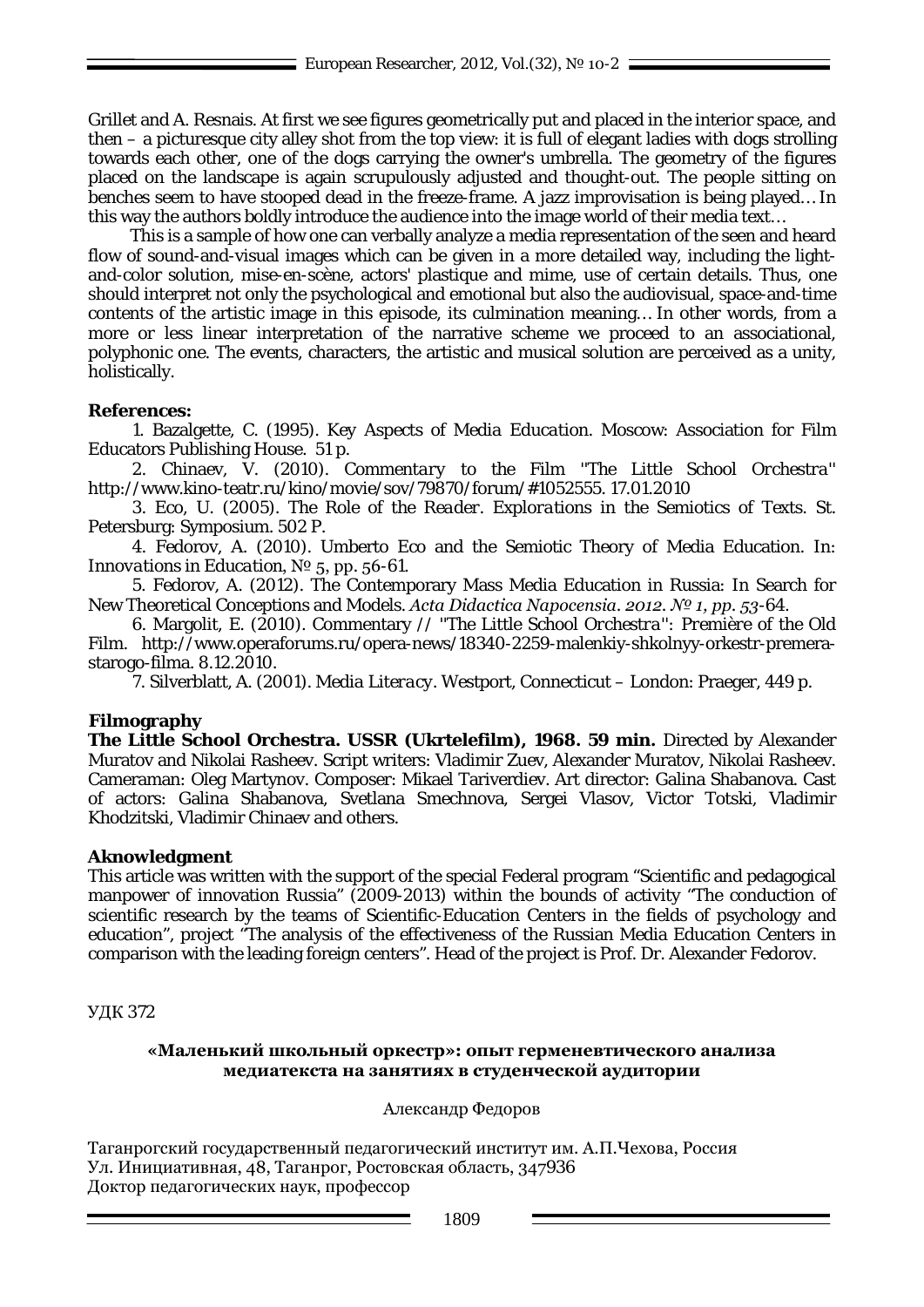Grillet and A. Resnais. At first we see figures geometrically put and placed in the interior space, and then – a picturesque city alley shot from the top view: it is full of elegant ladies with dogs strolling towards each other, one of the dogs carrying the owner's umbrella. The geometry of the figures placed on the landscape is again scrupulously adjusted and thought-out. The people sitting on benches seem to have stooped dead in the freeze-frame. A jazz improvisation is being played… In this way the authors boldly introduce the audience into the image world of their media text…

This is a sample of how one can verbally analyze a media representation of the seen and heard flow of sound-and-visual images which can be given in a more detailed way, including the lightand-color solution, mise-en-scène, actors' plastique and mime, use of certain details. Thus, one should interpret not only the psychological and emotional but also the audiovisual, space-and-time contents of the artistic image in this episode, its culmination meaning… In other words, from a more or less linear interpretation of the narrative scheme we proceed to an associational, polyphonic one. The events, characters, the artistic and musical solution are perceived as a unity, holistically.

### **References:**

1. Bazalgette, C. (1995). *Key Aspects of Media Education.* Moscow: Association for Film Educators Publishing House. 51 p.

2. Chinaev, V. (2010). *Commentary to the Film ''The Little School Orchestra''*  [http://www.kino-teatr.ru/kino/movie/sov/79870/forum/#1052555.](http://www.kino-teatr.ru/kino/movie/sov/79870/forum/#1052555) 17.01.2010

3. Eco, U. (2005). *The Role of the Reader. Explorations in the Semiotics of Texts.* St. Petersburg: Symposium. 502 P.

4. Fedorov, A. (2010). Umberto Eco and the Semiotic Theory of Media Education. In: *Innovations in Education*, № 5, pp. 56-61.

5. Fedorov, A. (2012). The Contemporary Mass Media Education in Russia: In Search for New Theoretical Conceptions and Models. *Acta Didactica Napocensia. 2012. № 1, pp. 53-64.*

6. Margolit, E. (2010). Commentary // *''The Little School Orchestra'': Première of the Old Film.* [http://www.operaforums.ru/opera-news/18340-2259-malenkiy-shkolnyy-orkestr-premera](http://www.operaforums.ru/opera-news/18340-2259-malenkiy-shkolnyy-orkestr-premera-starogo-filma)[starogo-filma.](http://www.operaforums.ru/opera-news/18340-2259-malenkiy-shkolnyy-orkestr-premera-starogo-filma) 8.12.2010.

7. Silverblatt, A. (2001). *Media Literacy.* Westport, Connecticut – London: Praeger, 449 p.

# **Filmography**

**The Little School Orchestra. USSR (Ukrtelefilm), 1968. 59 min.** Directed by Alexander Muratov and Nikolai Rasheev. Script writers: Vladimir Zuev, Alexander Muratov, Nikolai Rasheev. Cameraman: Oleg Martynov. Composer: Mikael Tariverdiev. Art director: Galina Shabanova. Cast of actors: Galina Shabanova, Svetlana Smechnova, Sergei Vlasov, Victor Totski, Vladimir Khodzitski, Vladimir Chinaev and others.

# **Aknowledgment**

This article was written with the support of the special Federal program "Scientific and pedagogical manpower of innovation Russia" (2009-2013) within the bounds of activity "The conduction of scientific research by the teams of Scientific-Education Centers in the fields of psychology and education", project "The analysis of the effectiveness of the Russian Media Education Centers in comparison with the leading foreign centers". Head of the project is Prof. Dr. Alexander Fedorov.

УДК 372

## **«Маленький школьный оркестр»: опыт герменевтического анализа медиатекста на занятиях в студенческой аудитории**

Александр Федоров

Таганрогский государственный педагогический институт им. А.П.Чехова, Россия Ул. Инициативная, 48, Таганрог, Ростовская область, 347936 Доктор педагогических наук, профессор